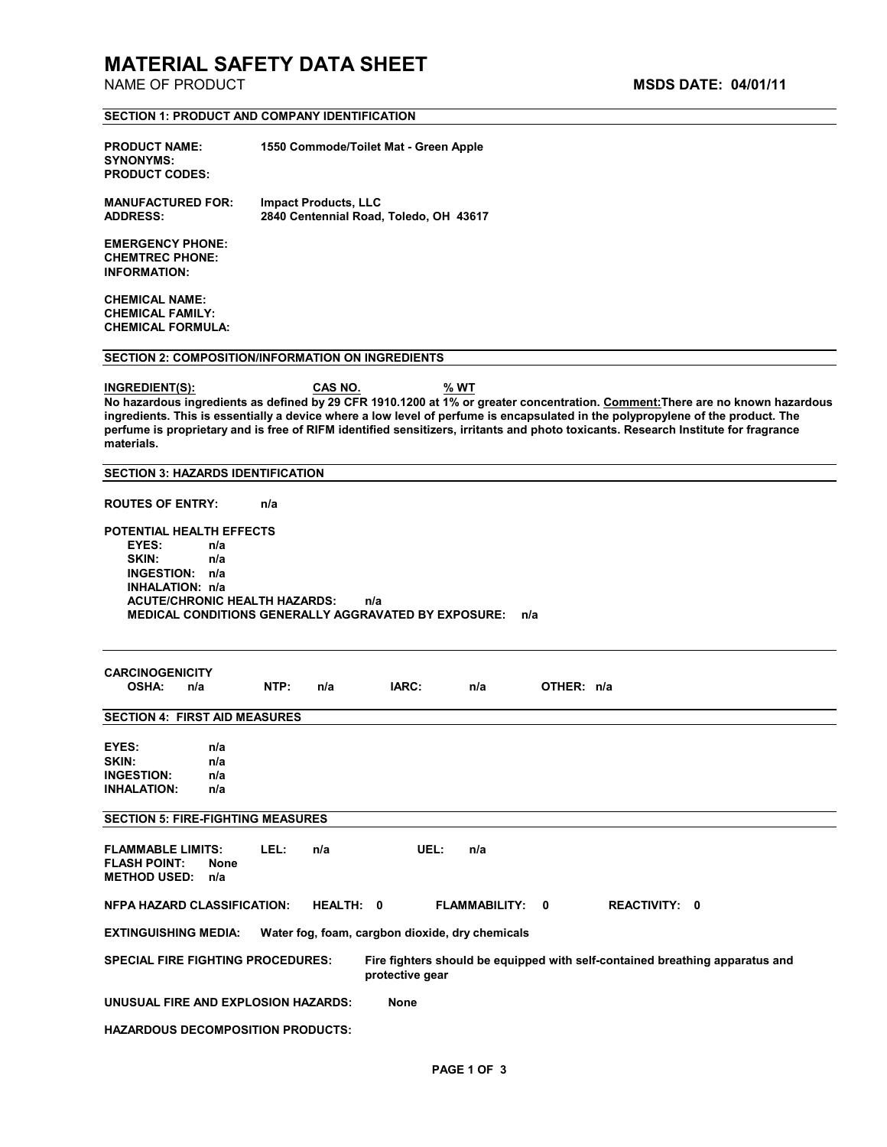# **MATERIAL SAFETY DATA SHEET**

**SECTION 1: PRODUCT AND COMPANY IDENTIFICATION** 

| <b>PRODUCT NAME:</b><br><b>SYNONYMS:</b><br><b>PRODUCT CODES:</b>                                                                                                                                                                                                                                                                                                                                                                      |                          |      | 1550 Commode/Toilet Mat - Green Apple                                 |                 |      |                                                 |            |                      |                                                                              |  |
|----------------------------------------------------------------------------------------------------------------------------------------------------------------------------------------------------------------------------------------------------------------------------------------------------------------------------------------------------------------------------------------------------------------------------------------|--------------------------|------|-----------------------------------------------------------------------|-----------------|------|-------------------------------------------------|------------|----------------------|------------------------------------------------------------------------------|--|
| <b>MANUFACTURED FOR:</b><br><b>ADDRESS:</b>                                                                                                                                                                                                                                                                                                                                                                                            |                          |      | <b>Impact Products, LLC</b><br>2840 Centennial Road, Toledo, OH 43617 |                 |      |                                                 |            |                      |                                                                              |  |
| <b>EMERGENCY PHONE:</b><br><b>CHEMTREC PHONE:</b><br><b>INFORMATION:</b>                                                                                                                                                                                                                                                                                                                                                               |                          |      |                                                                       |                 |      |                                                 |            |                      |                                                                              |  |
| <b>CHEMICAL NAME:</b><br><b>CHEMICAL FAMILY:</b><br><b>CHEMICAL FORMULA:</b>                                                                                                                                                                                                                                                                                                                                                           |                          |      |                                                                       |                 |      |                                                 |            |                      |                                                                              |  |
| <b>SECTION 2: COMPOSITION/INFORMATION ON INGREDIENTS</b>                                                                                                                                                                                                                                                                                                                                                                               |                          |      |                                                                       |                 |      |                                                 |            |                      |                                                                              |  |
| INGREDIENT(S):<br>No hazardous ingredients as defined by 29 CFR 1910.1200 at 1% or greater concentration. Comment: There are no known hazardous<br>ingredients. This is essentially a device where a low level of perfume is encapsulated in the polypropylene of the product. The<br>perfume is proprietary and is free of RIFM identified sensitizers, irritants and photo toxicants. Research Institute for fragrance<br>materials. |                          |      | CAS NO.                                                               |                 | % WT |                                                 |            |                      |                                                                              |  |
| <b>SECTION 3: HAZARDS IDENTIFICATION</b>                                                                                                                                                                                                                                                                                                                                                                                               |                          |      |                                                                       |                 |      |                                                 |            |                      |                                                                              |  |
| <b>ROUTES OF ENTRY:</b>                                                                                                                                                                                                                                                                                                                                                                                                                |                          | n/a  |                                                                       |                 |      |                                                 |            |                      |                                                                              |  |
| POTENTIAL HEALTH EFFECTS<br>EYES:<br>SKIN:<br><b>INGESTION:</b><br>INHALATION: n/a<br><b>ACUTE/CHRONIC HEALTH HAZARDS:</b><br>MEDICAL CONDITIONS GENERALLY AGGRAVATED BY EXPOSURE:                                                                                                                                                                                                                                                     | n/a<br>n/a<br>n/a        |      |                                                                       | n/a             |      | n/a                                             |            |                      |                                                                              |  |
| <b>CARCINOGENICITY</b><br><b>OSHA:</b><br>n/a                                                                                                                                                                                                                                                                                                                                                                                          |                          | NTP: | n/a                                                                   | IARC:           |      | n/a                                             | OTHER: n/a |                      |                                                                              |  |
| <b>SECTION 4: FIRST AID MEASURES</b>                                                                                                                                                                                                                                                                                                                                                                                                   |                          |      |                                                                       |                 |      |                                                 |            |                      |                                                                              |  |
| EYES:<br>SKIN:<br><b>INGESTION:</b><br><b>INHALATION:</b>                                                                                                                                                                                                                                                                                                                                                                              | n/a<br>n/a<br>n/a<br>n/a |      |                                                                       |                 |      |                                                 |            |                      |                                                                              |  |
| <b>SECTION 5: FIRE-FIGHTING MEASURES</b>                                                                                                                                                                                                                                                                                                                                                                                               |                          |      |                                                                       |                 |      |                                                 |            |                      |                                                                              |  |
| <b>FLAMMABLE LIMITS:</b><br><b>FLASH POINT:</b><br><b>METHOD USED:</b>                                                                                                                                                                                                                                                                                                                                                                 | None<br>n/a              | LEL: | n/a                                                                   |                 | UEL: | n/a                                             |            |                      |                                                                              |  |
| <b>NFPA HAZARD CLASSIFICATION:</b>                                                                                                                                                                                                                                                                                                                                                                                                     |                          |      | HEALTH: 0                                                             |                 |      | FLAMMABILITY: 0                                 |            | <b>REACTIVITY: 0</b> |                                                                              |  |
| <b>EXTINGUISHING MEDIA:</b>                                                                                                                                                                                                                                                                                                                                                                                                            |                          |      |                                                                       |                 |      | Water fog, foam, cargbon dioxide, dry chemicals |            |                      |                                                                              |  |
| <b>SPECIAL FIRE FIGHTING PROCEDURES:</b>                                                                                                                                                                                                                                                                                                                                                                                               |                          |      |                                                                       | protective gear |      |                                                 |            |                      | Fire fighters should be equipped with self-contained breathing apparatus and |  |
| UNUSUAL FIRE AND EXPLOSION HAZARDS:                                                                                                                                                                                                                                                                                                                                                                                                    |                          |      |                                                                       | None            |      |                                                 |            |                      |                                                                              |  |

**HAZARDOUS DECOMPOSITION PRODUCTS:**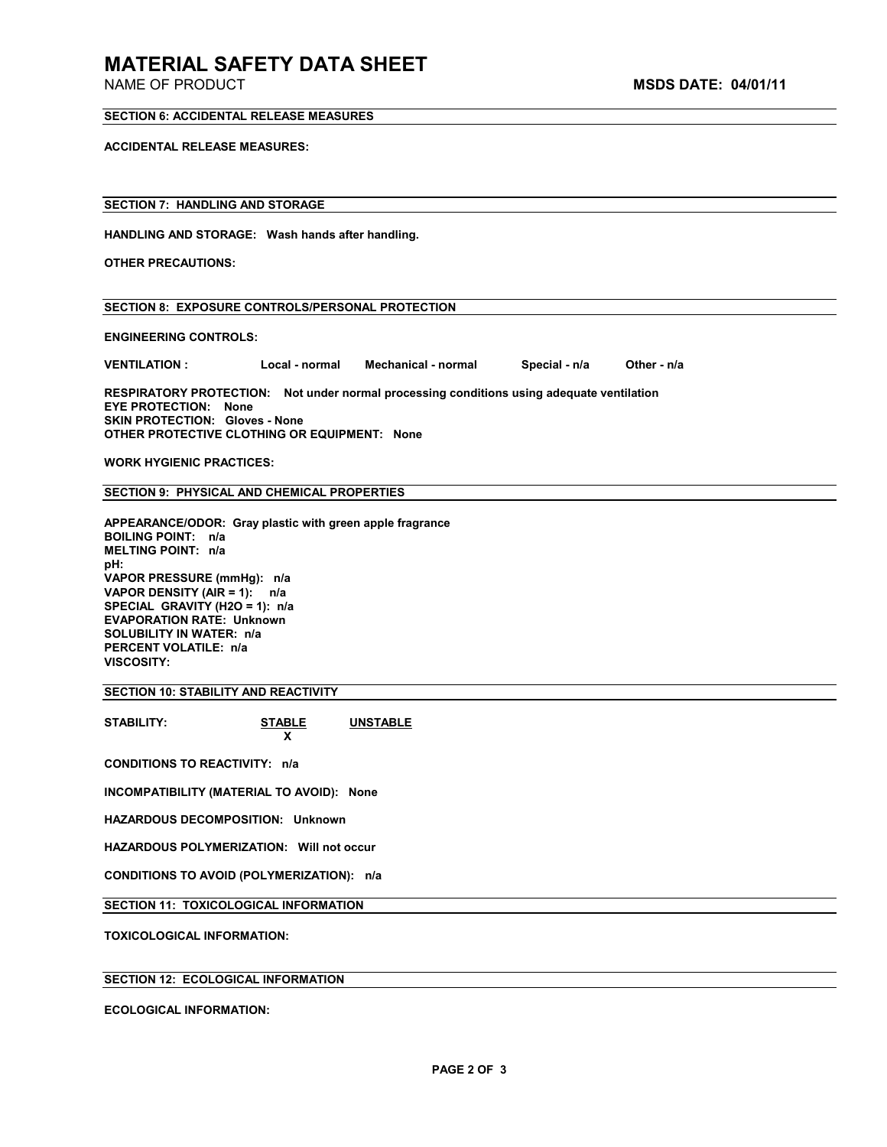## **MATERIAL SAFETY DATA SHEET**

#### **SECTION 6: ACCIDENTAL RELEASE MEASURES**

**ACCIDENTAL RELEASE MEASURES:** 

#### **SECTION 7: HANDLING AND STORAGE**

**HANDLING AND STORAGE: Wash hands after handling.** 

**OTHER PRECAUTIONS:** 

|  |  | <b>SECTION 8: EXPOSURE CONTROLS/PERSONAL PROTECTION</b> |  |
|--|--|---------------------------------------------------------|--|
|--|--|---------------------------------------------------------|--|

**ENGINEERING CONTROLS:** 

**VENTILATION : Local - normal Mechanical - normal Special - n/a Other - n/a** 

**RESPIRATORY PROTECTION: Not under normal processing conditions using adequate ventilation EYE PROTECTION: None SKIN PROTECTION: Gloves - None OTHER PROTECTIVE CLOTHING OR EQUIPMENT: None** 

**WORK HYGIENIC PRACTICES:** 

**SECTION 9: PHYSICAL AND CHEMICAL PROPERTIES** 

**APPEARANCE/ODOR: Gray plastic with green apple fragrance BOILING POINT: n/a MELTING POINT: n/a pH: VAPOR PRESSURE (mmHg): n/a VAPOR DENSITY (AIR = 1): n/a SPECIAL GRAVITY (H2O = 1): n/a EVAPORATION RATE: Unknown SOLUBILITY IN WATER: n/a PERCENT VOLATILE: n/a VISCOSITY:** 

**SECTION 10: STABILITY AND REACTIVITY** 

**STABILITY: STABLE UNSTABLE**

**x**  $\mathbf{x}$ **CONDITIONS TO REACTIVITY: n/a** 

**INCOMPATIBILITY (MATERIAL TO AVOID): None** 

**HAZARDOUS DECOMPOSITION: Unknown** 

**HAZARDOUS POLYMERIZATION: Will not occur** 

**CONDITIONS TO AVOID (POLYMERIZATION): n/a** 

**SECTION 11: TOXICOLOGICAL INFORMATION** 

**TOXICOLOGICAL INFORMATION:** 

### **SECTION 12: ECOLOGICAL INFORMATION**

**ECOLOGICAL INFORMATION:**